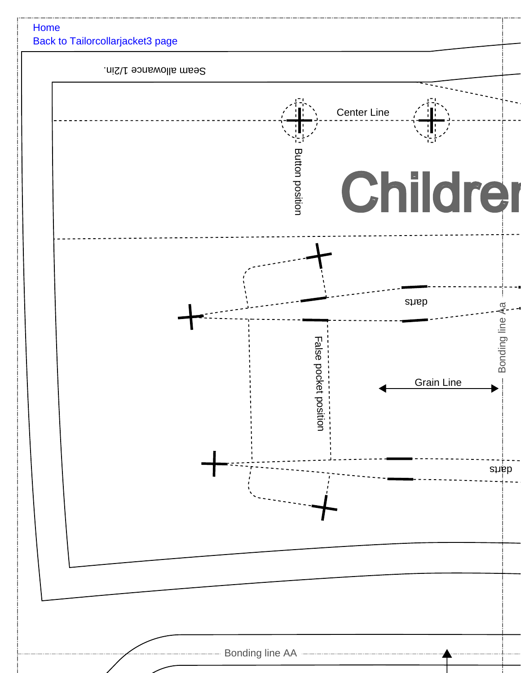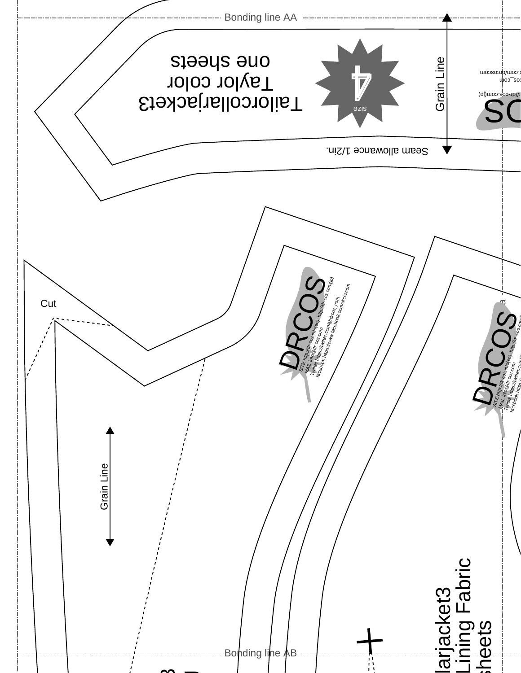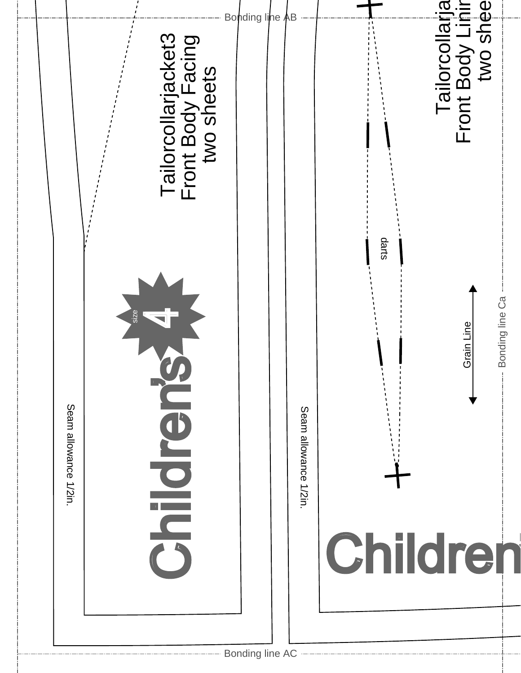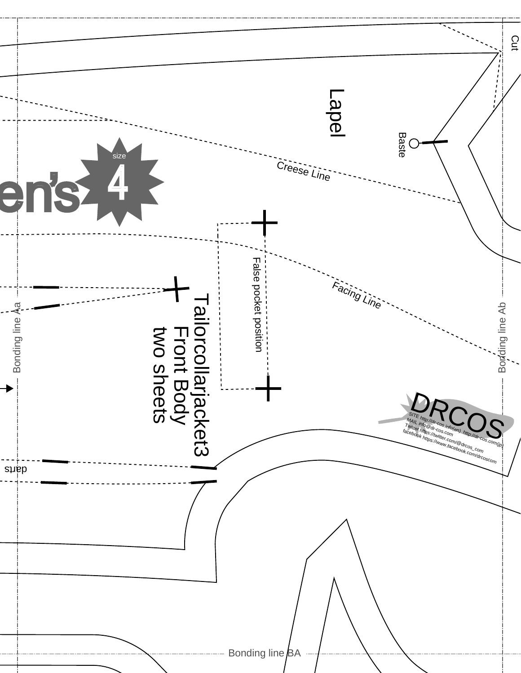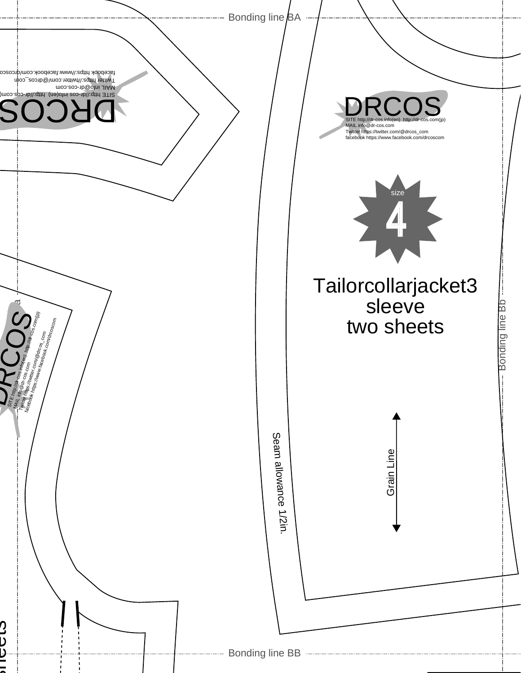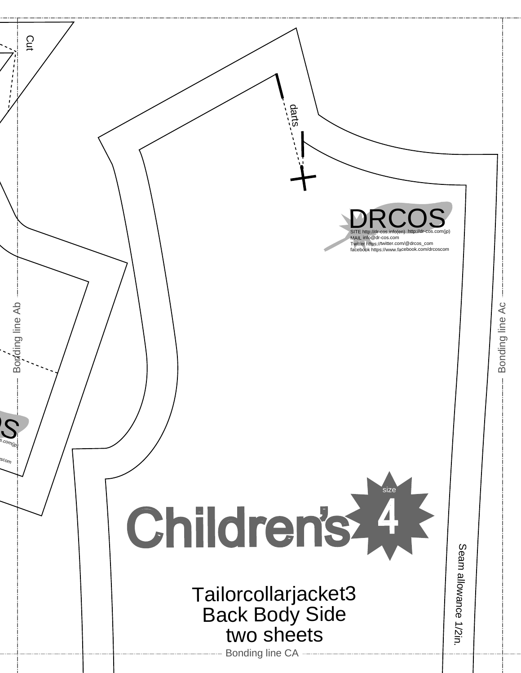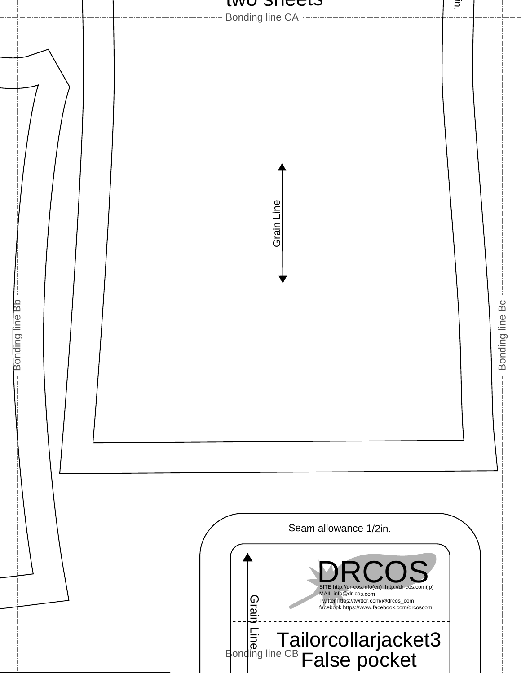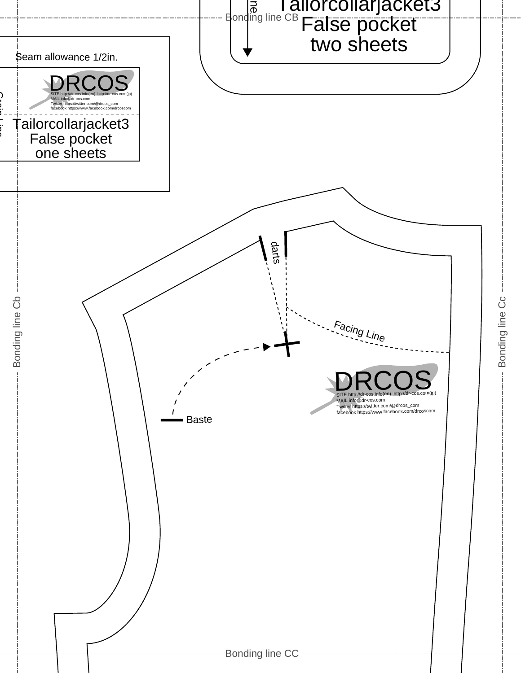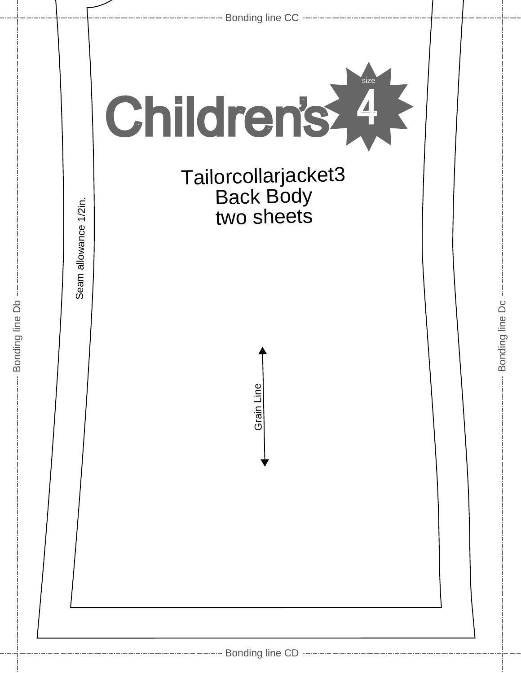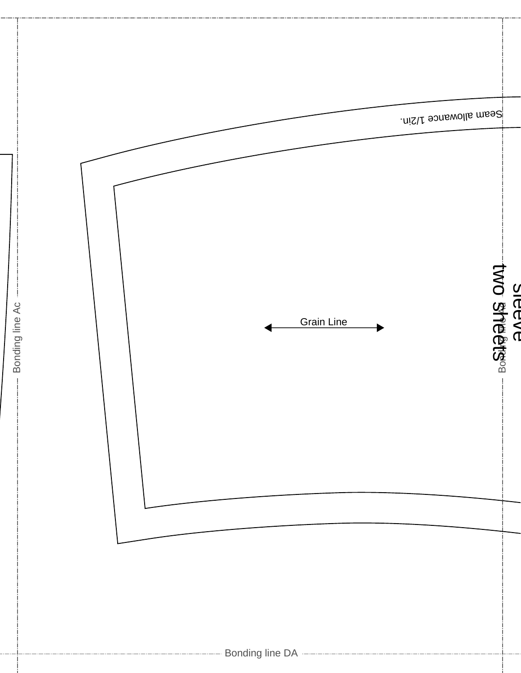